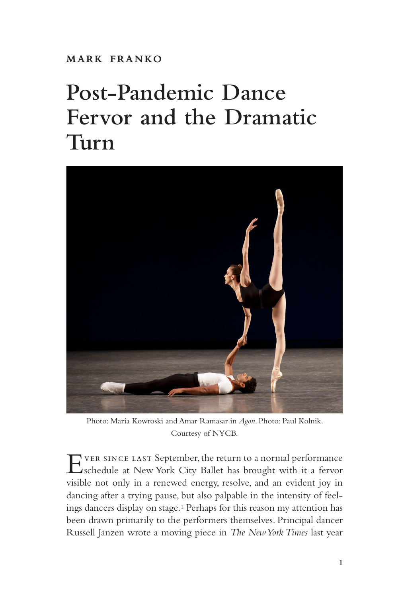**mark franko**

## **Post-Pandemic Dance Fervor and the Dramatic Turn**



Photo: Maria Kowroski and Amar Ramasar in *Agon*. Photo: Paul Kolnik. Courtesy of NYCB.

Ever since last September, the return to a normal performance schedule at New York City Ballet has brought with it a fervor visible not only in a renewed energy, resolve, and an evident joy in dancing after a trying pause, but also palpable in the intensity of feelings dancers display on stage.1 Perhaps for this reason my attention has been drawn primarily to the performers themselves. Principal dancer Russell Janzen wrote a moving piece in *The New York Times* last year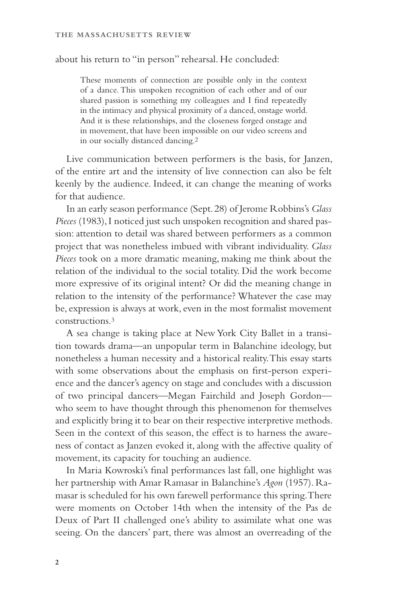about his return to "in person" rehearsal. He concluded:

These moments of connection are possible only in the context of a dance. This unspoken recognition of each other and of our shared passion is something my colleagues and I find repeatedly in the intimacy and physical proximity of a danced, onstage world. And it is these relationships, and the closeness forged onstage and in movement, that have been impossible on our video screens and in our socially distanced dancing.2

Live communication between performers is the basis, for Janzen, of the entire art and the intensity of live connection can also be felt keenly by the audience. Indeed, it can change the meaning of works for that audience.

In an early season performance (Sept. 28) of Jerome Robbins's *Glass Pieces* (1983), I noticed just such unspoken recognition and shared passion: attention to detail was shared between performers as a common project that was nonetheless imbued with vibrant individuality. *Glass Pieces* took on a more dramatic meaning, making me think about the relation of the individual to the social totality. Did the work become more expressive of its original intent? Or did the meaning change in relation to the intensity of the performance? Whatever the case may be, expression is always at work, even in the most formalist movement constructions.3

A sea change is taking place at New York City Ballet in a transition towards drama—an unpopular term in Balanchine ideology, but nonetheless a human necessity and a historical reality. This essay starts with some observations about the emphasis on first-person experience and the dancer's agency on stage and concludes with a discussion of two principal dancers—Megan Fairchild and Joseph Gordon who seem to have thought through this phenomenon for themselves and explicitly bring it to bear on their respective interpretive methods. Seen in the context of this season, the effect is to harness the awareness of contact as Janzen evoked it, along with the affective quality of movement, its capacity for touching an audience.

In Maria Kowroski's final performances last fall, one highlight was her partnership with Amar Ramasar in Balanchine's *Agon* (1957). Ramasar is scheduled for his own farewell performance this spring. There were moments on October 14th when the intensity of the Pas de Deux of Part II challenged one's ability to assimilate what one was seeing. On the dancers' part, there was almost an overreading of the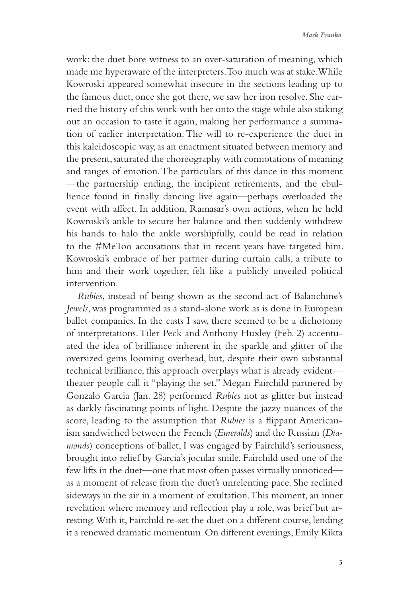work: the duet bore witness to an over-saturation of meaning, which made me hyperaware of the interpreters. Too much was at stake. While Kowroski appeared somewhat insecure in the sections leading up to the famous duet, once she got there, we saw her iron resolve. She carried the history of this work with her onto the stage while also staking out an occasion to taste it again, making her performance a summation of earlier interpretation. The will to re-experience the duet in this kaleidoscopic way, as an enactment situated between memory and the present, saturated the choreography with connotations of meaning and ranges of emotion. The particulars of this dance in this moment —the partnership ending, the incipient retirements, and the ebullience found in finally dancing live again—perhaps overloaded the event with affect. In addition, Ramasar's own actions, when he held Kowroski's ankle to secure her balance and then suddenly withdrew his hands to halo the ankle worshipfully, could be read in relation to the #MeToo accusations that in recent years have targeted him. Kowroski's embrace of her partner during curtain calls, a tribute to him and their work together, felt like a publicly unveiled political intervention.

*Rubies*, instead of being shown as the second act of Balanchine's *Jewels*, was programmed as a stand-alone work as is done in European ballet companies. In the casts I saw, there seemed to be a dichotomy of interpretations. Tiler Peck and Anthony Huxley (Feb. 2) accentuated the idea of brilliance inherent in the sparkle and glitter of the oversized gems looming overhead, but, despite their own substantial technical brilliance, this approach overplays what is already evident theater people call it "playing the set." Megan Fairchild partnered by Gonzalo Garcia (Jan. 28) performed *Rubies* not as glitter but instead as darkly fascinating points of light. Despite the jazzy nuances of the score, leading to the assumption that *Rubies* is a flippant Americanism sandwiched between the French (*Emeralds*) and the Russian (*Diamonds*) conceptions of ballet, I was engaged by Fairchild's seriousness, brought into relief by Garcia's jocular smile. Fairchild used one of the few lifts in the duet—one that most often passes virtually unnoticed as a moment of release from the duet's unrelenting pace. She reclined sideways in the air in a moment of exultation. This moment, an inner revelation where memory and reflection play a role, was brief but arresting. With it, Fairchild re-set the duet on a different course, lending it a renewed dramatic momentum. On different evenings, Emily Kikta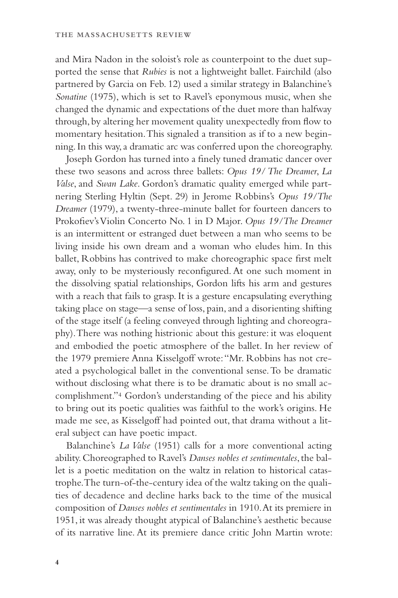and Mira Nadon in the soloist's role as counterpoint to the duet supported the sense that *Rubies* is not a lightweight ballet. Fairchild (also partnered by Garcia on Feb. 12) used a similar strategy in Balanchine's *Sonatine* (1975), which is set to Ravel's eponymous music, when she changed the dynamic and expectations of the duet more than halfway through, by altering her movement quality unexpectedly from flow to momentary hesitation. This signaled a transition as if to a new beginning. In this way, a dramatic arc was conferred upon the choreography.

Joseph Gordon has turned into a finely tuned dramatic dancer over these two seasons and across three ballets: *Opus 19/ The Dreamer*, *La Valse*, and *Swan Lake*. Gordon's dramatic quality emerged while partnering Sterling Hyltin (Sept. 29) in Jerome Robbins's *Opus 19/The Dreamer* (1979), a twenty-three-minute ballet for fourteen dancers to Prokofiev's Violin Concerto No. 1 in D Major. *Opus 19/The Dreamer* is an intermittent or estranged duet between a man who seems to be living inside his own dream and a woman who eludes him. In this ballet, Robbins has contrived to make choreographic space first melt away, only to be mysteriously reconfigured. At one such moment in the dissolving spatial relationships, Gordon lifts his arm and gestures with a reach that fails to grasp. It is a gesture encapsulating everything taking place on stage—a sense of loss, pain, and a disorienting shifting of the stage itself (a feeling conveyed through lighting and choreography). There was nothing histrionic about this gesture: it was eloquent and embodied the poetic atmosphere of the ballet. In her review of the 1979 premiere Anna Kisselgoff wrote: "Mr. Robbins has not created a psychological ballet in the conventional sense. To be dramatic without disclosing what there is to be dramatic about is no small accomplishment."4 Gordon's understanding of the piece and his ability to bring out its poetic qualities was faithful to the work's origins. He made me see, as Kisselgoff had pointed out, that drama without a literal subject can have poetic impact.

Balanchine's *La Valse* (1951) calls for a more conventional acting ability. Choreographed to Ravel's *Danses nobles et sentimentales*, the ballet is a poetic meditation on the waltz in relation to historical catastrophe. The turn-of-the-century idea of the waltz taking on the qualities of decadence and decline harks back to the time of the musical composition of *Danses nobles et sentimentales* in 1910. At its premiere in 1951, it was already thought atypical of Balanchine's aesthetic because of its narrative line. At its premiere dance critic John Martin wrote: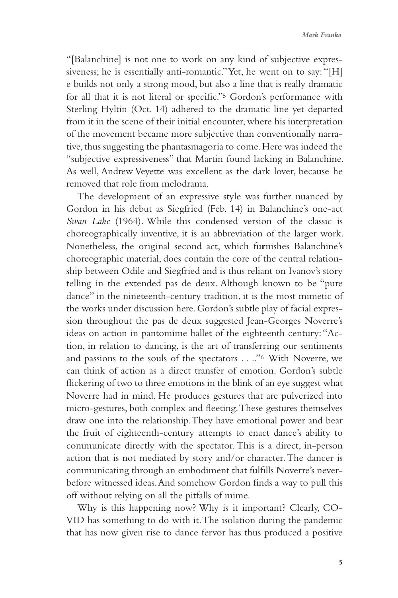"[Balanchine] is not one to work on any kind of subjective expressiveness; he is essentially anti-romantic." Yet, he went on to say: "[H] e builds not only a strong mood, but also a line that is really dramatic for all that it is not literal or specific."5 Gordon's performance with Sterling Hyltin (Oct. 14) adhered to the dramatic line yet departed from it in the scene of their initial encounter, where his interpretation of the movement became more subjective than conventionally narrative, thus suggesting the phantasmagoria to come. Here was indeed the "subjective expressiveness" that Martin found lacking in Balanchine. As well, Andrew Veyette was excellent as the dark lover, because he removed that role from melodrama.

The development of an expressive style was further nuanced by Gordon in his debut as Siegfried (Feb. 14) in Balanchine's one-act *Swan Lake* (1964). While this condensed version of the classic is choreographically inventive, it is an abbreviation of the larger work. Nonetheless, the original second act, which fu**r**nishes Balanchine's choreographic material, does contain the core of the central relationship between Odile and Siegfried and is thus reliant on Ivanov's story telling in the extended pas de deux. Although known to be "pure dance" in the nineteenth-century tradition, it is the most mimetic of the works under discussion here. Gordon's subtle play of facial expression throughout the pas de deux suggested Jean-Georges Noverre's ideas on action in pantomime ballet of the eighteenth century: "Action, in relation to dancing, is the art of transferring our sentiments and passions to the souls of the spectators . . .."6 With Noverre, we can think of action as a direct transfer of emotion. Gordon's subtle flickering of two to three emotions in the blink of an eye suggest what Noverre had in mind. He produces gestures that are pulverized into micro-gestures, both complex and fleeting. These gestures themselves draw one into the relationship. They have emotional power and bear the fruit of eighteenth-century attempts to enact dance's ability to communicate directly with the spectator. This is a direct, in-person action that is not mediated by story and/or character. The dancer is communicating through an embodiment that fulfills Noverre's neverbefore witnessed ideas. And somehow Gordon finds a way to pull this off without relying on all the pitfalls of mime.

Why is this happening now? Why is it important? Clearly, CO-VID has something to do with it. The isolation during the pandemic that has now given rise to dance fervor has thus produced a positive